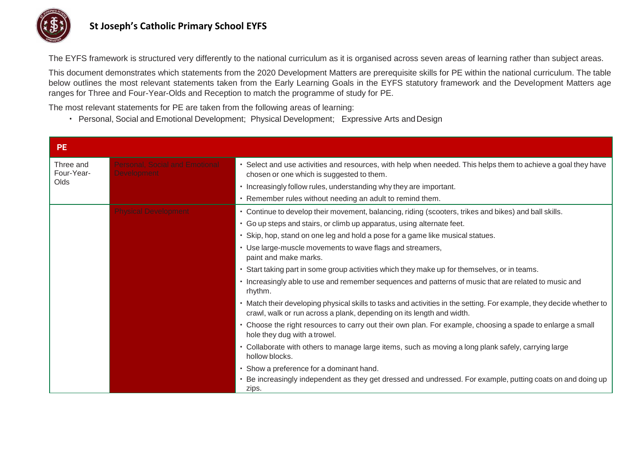

## **St Joseph's Catholic Primary School EYFS**

The EYFS framework is structured very differently to the national curriculum as it is organised across seven areas of learning rather than subject areas.

This document demonstrates which statements from the 2020 Development Matters are prerequisite skills for PE within the national curriculum. The table below outlines the most relevant statements taken from the Early Learning Goals in the EYFS statutory framework and the Development Matters age ranges for Three and Four-Year-Olds and Reception to match the programme of study for PE.

The most relevant statements for PE are taken from the following areas of learning:

• Personal, Social and Emotional Development; Physical Development; Expressive Arts andDesign

| <b>PE</b>                       |                                                             |                                                                                                                                                                                               |
|---------------------------------|-------------------------------------------------------------|-----------------------------------------------------------------------------------------------------------------------------------------------------------------------------------------------|
| Three and<br>Four-Year-<br>Olds | <b>Personal, Social and Emotional</b><br><b>Development</b> | · Select and use activities and resources, with help when needed. This helps them to achieve a goal they have<br>chosen or one which is suggested to them.                                    |
|                                 |                                                             | • Increasingly follow rules, understanding why they are important.                                                                                                                            |
|                                 |                                                             | • Remember rules without needing an adult to remind them.                                                                                                                                     |
|                                 | <b>Physical Developmen</b>                                  | . Continue to develop their movement, balancing, riding (scooters, trikes and bikes) and ball skills.                                                                                         |
|                                 |                                                             | · Go up steps and stairs, or climb up apparatus, using alternate feet.                                                                                                                        |
|                                 |                                                             | · Skip, hop, stand on one leg and hold a pose for a game like musical statues.                                                                                                                |
|                                 |                                                             | • Use large-muscle movements to wave flags and streamers,<br>paint and make marks.                                                                                                            |
|                                 |                                                             | • Start taking part in some group activities which they make up for themselves, or in teams.                                                                                                  |
|                                 |                                                             | · Increasingly able to use and remember sequences and patterns of music that are related to music and<br>rhythm.                                                                              |
|                                 |                                                             | • Match their developing physical skills to tasks and activities in the setting. For example, they decide whether to<br>crawl, walk or run across a plank, depending on its length and width. |
|                                 |                                                             | • Choose the right resources to carry out their own plan. For example, choosing a spade to enlarge a small<br>hole they dug with a trowel.                                                    |
|                                 |                                                             | • Collaborate with others to manage large items, such as moving a long plank safely, carrying large<br>hollow blocks.                                                                         |
|                                 |                                                             | • Show a preference for a dominant hand.                                                                                                                                                      |
|                                 |                                                             | • Be increasingly independent as they get dressed and undressed. For example, putting coats on and doing up<br>zips.                                                                          |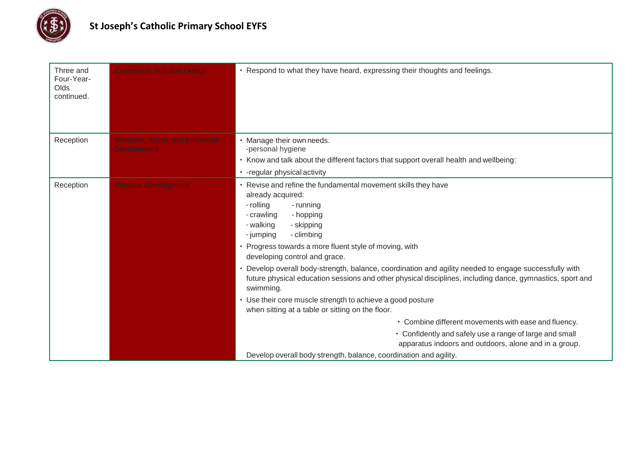

| Three and<br>Four-Year-<br>Olds<br>continued. | <b>Expressive Arts and Design</b>                           | • Respond to what they have heard, expressing their thoughts and feelings.                                                                                                                                                                                                                                                                                                                                                                                                                                                  |
|-----------------------------------------------|-------------------------------------------------------------|-----------------------------------------------------------------------------------------------------------------------------------------------------------------------------------------------------------------------------------------------------------------------------------------------------------------------------------------------------------------------------------------------------------------------------------------------------------------------------------------------------------------------------|
| Reception                                     | <b>Personal, Social and Emotional</b><br><b>Development</b> | · Manage their own needs.<br>-personal hygiene                                                                                                                                                                                                                                                                                                                                                                                                                                                                              |
|                                               |                                                             | • Know and talk about the different factors that support overall health and wellbeing:                                                                                                                                                                                                                                                                                                                                                                                                                                      |
|                                               |                                                             | • - regular physical activity                                                                                                                                                                                                                                                                                                                                                                                                                                                                                               |
| Reception                                     | <b>Physical Development</b>                                 | • Revise and refine the fundamental movement skills they have<br>already acquired:<br>- rolling<br>- running<br>- crawling<br>- hopping<br>- walking<br>- skipping<br>- climbing<br>- jumping<br>• Progress towards a more fluent style of moving, with<br>developing control and grace.<br>• Develop overall body-strength, balance, coordination and agility needed to engage successfully with<br>future physical education sessions and other physical disciplines, including dance, gymnastics, sport and<br>swimming. |
|                                               |                                                             | • Use their core muscle strength to achieve a good posture<br>when sitting at a table or sitting on the floor.                                                                                                                                                                                                                                                                                                                                                                                                              |
|                                               |                                                             | • Combine different movements with ease and fluency.                                                                                                                                                                                                                                                                                                                                                                                                                                                                        |
|                                               |                                                             | • Confidently and safely use a range of large and small<br>apparatus indoors and outdoors, alone and in a group.                                                                                                                                                                                                                                                                                                                                                                                                            |
|                                               |                                                             | Develop overall body strength, balance, coordination and agility.                                                                                                                                                                                                                                                                                                                                                                                                                                                           |